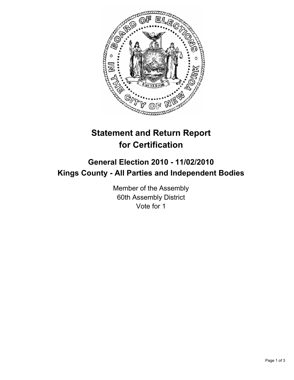

## **Statement and Return Report for Certification**

## **General Election 2010 - 11/02/2010 Kings County - All Parties and Independent Bodies**

Member of the Assembly 60th Assembly District Vote for 1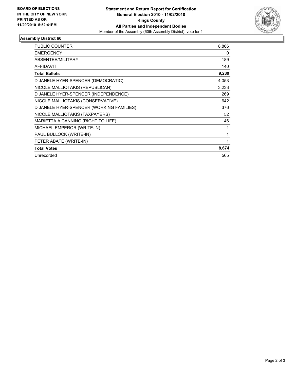

## **Assembly District 60**

| <b>PUBLIC COUNTER</b>                    | 8,866 |
|------------------------------------------|-------|
| <b>EMERGENCY</b>                         | 0     |
| <b>ABSENTEE/MILITARY</b>                 | 189   |
| <b>AFFIDAVIT</b>                         | 140   |
| <b>Total Ballots</b>                     | 9,239 |
| D JANELE HYER-SPENCER (DEMOCRATIC)       | 4,053 |
| NICOLE MALLIOTAKIS (REPUBLICAN)          | 3,233 |
| D JANELE HYER-SPENCER (INDEPENDENCE)     | 269   |
| NICOLE MALLIOTAKIS (CONSERVATIVE)        | 642   |
| D JANELE HYER-SPENCER (WORKING FAMILIES) | 376   |
| NICOLE MALLIOTAKIS (TAXPAYERS)           | 52    |
| MARIETTA A CANNING (RIGHT TO LIFE)       | 46    |
| MICHAEL EMPEROR (WRITE-IN)               | 1     |
| PAUL BULLOCK (WRITE-IN)                  | 1     |
| PETER ABATE (WRITE-IN)                   | 1     |
| <b>Total Votes</b>                       | 8,674 |
| Unrecorded                               | 565   |